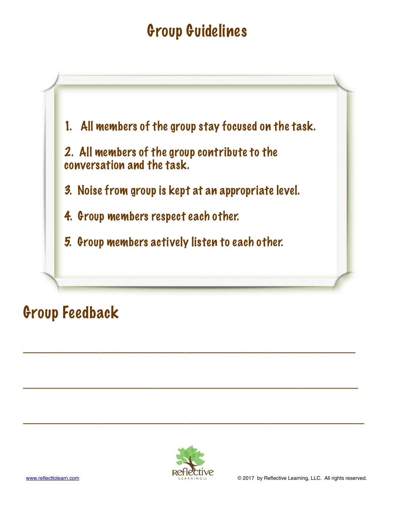# Group Guidelines



# Group Feedback



**\_\_\_\_\_\_\_\_\_\_\_\_\_\_\_\_\_\_\_\_\_\_\_\_\_\_\_\_\_\_\_\_\_\_\_\_\_\_\_** 

**\_\_\_\_\_\_\_\_\_\_\_\_\_\_\_\_\_\_\_\_\_\_\_\_\_\_\_\_\_\_\_\_\_\_\_\_\_\_\_\_\_** 

**\_\_\_\_\_\_\_\_\_\_\_\_\_\_\_\_\_\_\_\_\_\_\_\_\_\_\_\_\_\_\_\_\_\_\_\_\_\_\_\_**